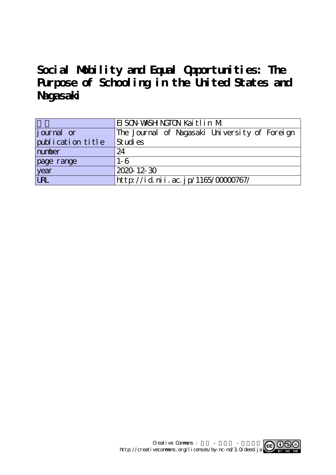# **Social Mobility and Equal Opportunities: The Purpose of Schooling in the United States and Nagasaki**

|                    | EI SON WASH NGTON Kaitlin M                   |
|--------------------|-----------------------------------------------|
| <i>j</i> ournal or | The Journal of Nagasaki University of Foreign |
| publication title  | Studies                                       |
| number             | 24                                            |
| page range         | $1 - 6$                                       |
| year<br>URL        | 2020-12-30                                    |
|                    | http://id.nii.ac.jp/1165/00000767/            |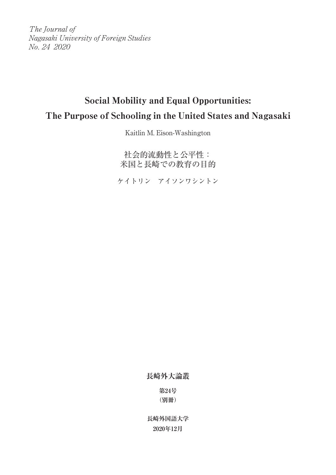The Journal of Nagasaki University of Foreign Studies No. 24 2020

# Social Mobility and Equal Opportunities: The Purpose of Schooling in the United States and Nagasaki

Kaitlin M. Eison-Washington

社会的流動性と公平性: 米国と長崎での教育の目的

ケイトリン アイソンワシントン

**長崎外大論叢**

**第24号 (別冊)**

**長崎外国語大学 2020年12月**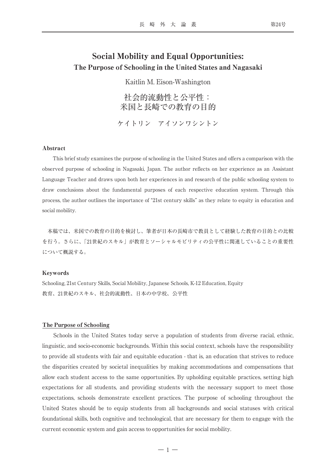## Social Mobility and Equal Opportunities: The Purpose of Schooling in the United States and Nagasaki

Kaitlin M. Eison-Washington

社会的流動性と公平性: 米国と長崎での教育の目的

ケイトリン アイソンワシントン

#### Abstract

This brief study examines the purpose of schooling in the United States and offers a comparison with the observed purpose of schooling in Nagasaki, Japan. The author reflects on her experience as an Assistant Language Teacher and draws upon both her experiences in and research of the public schooling system to draw conclusions about the fundamental purposes of each respective education system. Through this process, the author outlines the importance of "21st century skills" as they relate to equity in education and social mobility.

本稿では、米国での教育の目的を検討し、筆者が日本の長崎市で教員として経験した教育の目的との比較 を行う。さらに、「21世紀のスキル」が教育とソーシャルモビリティの公平性に関連していることの重要性 について概説する。

#### Keywords

Schooling, 21st Century Skills, Social Mobility, Japanese Schools, K-12 Education, Equity 教育、21世紀のスキル、社会的流動性、日本の中学校、公平性

#### The Purpose of Schooling

Schools in the United States today serve a population of students from diverse racial, ethnic, linguistic, and socio-economic backgrounds. Within this social context, schools have the responsibility to provide all students with fair and equitable education - that is, an education that strives to reduce the disparities created by societal inequalities by making accommodations and compensations that allow each student access to the same opportunities. By upholding equitable practices, setting high expectations for all students, and providing students with the necessary support to meet those expectations, schools demonstrate excellent practices. The purpose of schooling throughout the United States should be to equip students from all backgrounds and social statuses with critical foundational skills, both cognitive and technological, that are necessary for them to engage with the current economic system and gain access to opportunities for social mobility.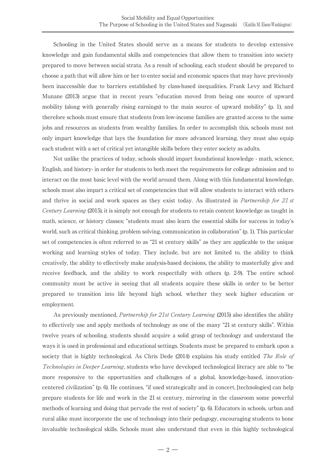Schooling in the United States should serve as a means for students to develop extensive knowledge and gain fundamental skills and competencies that allow them to transition into society prepared to move between social strata. As a result of schooling, each student should be prepared to choose a path that will allow him or her to enter social and economic spaces that may have previously been inaccessible due to barriers established by class-based inequalities. Frank Levy and Richard Munane (2013) argue that in recent years "education moved from being one source of upward mobility (along with generally rising earnings) to the main source of upward mobility" (p. 1), and therefore schools must ensure that students from low-income families are granted access to the same jobs and resources as students from wealthy families. In order to accomplish this, schools must not only impart knowledge that lays the foundation for more advanced learning, they must also equip each student with a set of critical yet intangible skills before they enter society as adults.

Not unlike the practices of today, schools should impart foundational knowledge - math, science, English, and history- in order for students to both meet the requirements for college admission and to interact on the most basic level with the world around them. Along with this fundamental knowledge, schools must also impart a critical set of competencies that will allow students to interact with others and thrive in social and work spaces as they exist today. As illustrated in *Partnership for 21 st* Century Learning (2015), it is simply not enough for students to retain content knowledge as taught in math, science, or history classes; "students must also learn the essential skills for success in today's world, such as critical thinking, problem solving, communication in collaboration" (p. 1). This particular set of competencies is often referred to as "21 st century skills" as they are applicable to the unique working and learning styles of today. They include, but are not limited to, the ability to think creatively, the ability to effectively make analysis-based decisions, the ability to masterfully give and receive feedback, and the ability to work respectfully with others (p. 2-9). The entire school community must be active in seeing that all students acquire these skills in order to be better prepared to transition into life beyond high school, whether they seek higher education or employment.

As previously mentioned, *Partnership for 21st Century Learning* (2015) also identifies the ability to effectively use and apply methods of technology as one of the many "21 st century skills". Within twelve years of schooling, students should acquire a solid grasp of technology and understand the ways it is used in professional and educational settings. Students must be prepared to embark upon a society that is highly technological. As Chris Dede (2014) explains his study entitled The Role of Technologies in Deeper Learning, students who have developed technological literacy are able to "be more responsive to the opportunities and challenges of a global, knowledge-based, innovationcentered civilization" (p. 6). He continues, "if used strategically and in concert, [technologies] can help prepare students for life and work in the 21 st century, mirroring in the classroom some powerful methods of learning and doing that pervade the rest of society" (p. 6). Educators in schools, urban and rural alike must incorporate the use of technology into their pedagogy, encouraging students to hone invaluable technological skills. Schools must also understand that even in this highly technological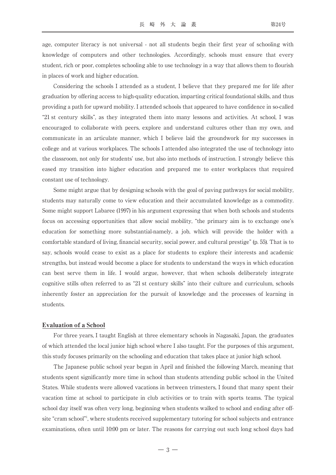age, computer literacy is not universal - not all students begin their first year of schooling with knowledge of computers and other technologies. Accordingly, schools must ensure that every student, rich or poor, completes schooling able to use technology in a way that allows them to flourish in places of work and higher education.

Considering the schools I attended as a student, I believe that they prepared me for life after graduation by offering access to high-quality education, imparting critical foundational skills, and thus providing a path for upward mobility. I attended schools that appeared to have confidence in so-called "21 st century skills", as they integrated them into many lessons and activities. At school, I was encouraged to collaborate with peers, explore and understand cultures other than my own, and communicate in an articulate manner, which I believe laid the groundwork for my successes in college and at various workplaces. The schools I attended also integrated the use of technology into the classroom, not only for students' use, but also into methods of instruction. I strongly believe this eased my transition into higher education and prepared me to enter workplaces that required constant use of technology.

Some might argue that by designing schools with the goal of paving pathways for social mobility, students may naturally come to view education and their accumulated knowledge as a commodity. Some might support Labaree (1997) in his argument expressing that when both schools and students focus on accessing opportunities that allow social mobility, "the primary aim is to exchange one's education for something more substantial-namely, a job, which will provide the holder with a comfortable standard of living, financial security, social power, and cultural prestige" (p. 55). That is to say, schools would cease to exist as a place for students to explore their interests and academic strengths, but instead would become a place for students to understand the ways in which education can best serve them in life. I would argue, however, that when schools deliberately integrate cognitive stills often referred to as "21 st century skills" into their culture and curriculum, schools inherently foster an appreciation for the pursuit of knowledge and the processes of learning in students.

#### Evaluation of a School

For three years, I taught English at three elementary schools in Nagasaki, Japan, the graduates of which attended the local junior high school where I also taught. For the purposes of this argument, this study focuses primarily on the schooling and education that takes place at junior high school.

The Japanese public school year began in April and finished the following March, meaning that students spent significantly more time in school than students attending public school in the United States. While students were allowed vacations in between trimesters, I found that many spent their vacation time at school to participate in club activities or to train with sports teams. The typical school day itself was often very long, beginning when students walked to school and ending after offsite "cram school"<sup>1</sup>, where students received supplementary tutoring for school subjects and entrance examinations, often until 10:00 pm or later. The reasons for carrying out such long school days had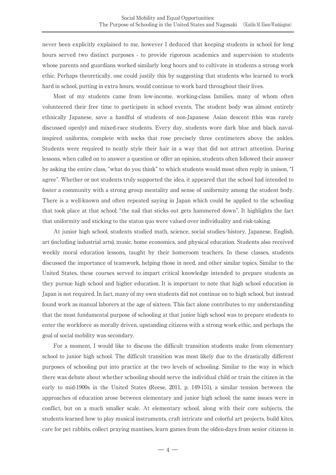never been explicitly explained to me, however I deduced that keeping students in school for long hours served two distinct purposes - to provide rigorous academics and supervision to students whose parents and guardians worked similarly long hours and to cultivate in students a strong work ethic. Perhaps theoretically, one could justify this by suggesting that students who learned to work hard in school, putting in extra hours, would continue to work hard throughout their lives.

Most of my students came from low-income, working-class families, many of whom often volunteered their free time to participate in school events. The student body was almost entirely ethnically Japanese, save a handful of students of non-Japanese Asian descent (this was rarely discussed openly) and mixed-race students. Every day, students wore dark blue and black navalinspired uniforms, complete with socks that rose precisely three centimeters above the ankles. Students were required to neatly style their hair in a way that did not attract attention. During lessons, when called on to answer a question or offer an opinion, students often followed their answer by asking the entire class, "what do you think" to which students would most often reply in unison, "I agree". Whether or not students truly supported the idea, it appeared that the school had intended to foster a community with a strong group mentality and sense of uniformity among the student body. There is a well-known and often repeated saying in Japan which could be applied to the schooling that took place at that school; "the nail that sticks out gets hammered down". It highlights the fact that uniformity and sticking to the status quo were valued over individuality and risk-taking.

At junior high school, students studied math, science, social studies/history, Japanese, English, art (including industrial arts), music, home economics, and physical education. Students also received weekly moral education lessons, taught by their homeroom teachers. In these classes, students discussed the importance of teamwork, helping those in need, and other similar topics. Similar to the United States, these courses served to impart critical knowledge intended to prepare students as they pursue high school and higher education. It is important to note that high school education in Japan is not required. In fact, many of my own students did not continue on to high school, but instead found work as manual laborers at the age of sixteen. This fact alone contributes to my understanding that the most fundamental purpose of schooling at that junior high school was to prepare students to enter the workforce as morally driven, upstanding citizens with a strong work ethic, and perhaps the goal of social mobility was secondary.

For a moment, I would like to discuss the difficult transition students make from elementary school to junior high school. The difficult transition was most likely due to the drastically different purposes of schooling put into practice at the two levels of schooling. Similar to the way in which there was debate about whether schooling should serve the individual child or train the citizen in the early to mid-1900s in the United States (Reese, 2011, p. 149-151), a similar tension between the approaches of education arose between elementary and junior high school; the same issues were in conflict, but on a much smaller scale. At elementary school, along with their core subjects, the students learned how to play musical instruments, craft intricate and colorful art projects, build kites, care for pet rabbits, collect praying mantises, learn games from the olden-days from senior citizens in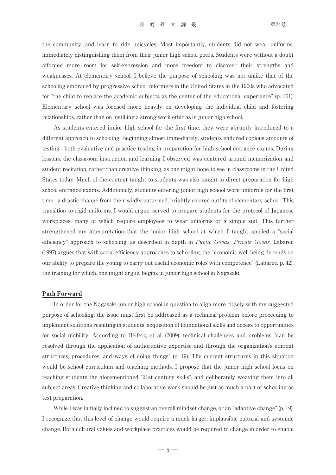the community, and learn to ride unicycles. Most importantly, students did not wear uniforms, immediately distinguishing them from their junior high school peers. Students were without a doubt afforded more room for self-expression and more freedom to discover their strengths and weaknesses. At elementary school, I believe the purpose of schooling was not unlike that of the schooling embraced by progressive school reformers in the United States in the 1900s who advocated for "the child to replace the academic subjects as the center of the educational experience" (p. 151). Elementary school was focused more heavily on developing the individual child and fostering relationships, rather than on instilling a strong work ethic as in junior high school.

As students entered junior high school for the first time, they were abruptly introduced to a different approach to schooling. Beginning almost immediately, students endured copious amounts of testing - both evaluative and practice testing in preparation for high school entrance exams. During lessons, the classroom instruction and learning I observed was centered around memorization and student recitation, rather than creative thinking, as one might hope to see in classrooms in the United States today. Much of the content taught to students was also taught in direct preparation for high school entrance exams. Additionally, students entering junior high school wore uniforms for the first time - a drastic change from their wildly patterned, brightly colored outfits of elementary school. This transition to rigid uniforms, I would argue, served to prepare students for the protocol of Japanese workplaces, many of which require employees to wear uniforms or a simple suit. This further strengthened my interpretation that the junior high school at which I taught applied a "social efficiency" approach to schooling, as described in depth in *Public Goods, Private Goods*. Labaree (1997) argues that with social efficiency approaches to schooling, the "economic well-being depends on our ability to prepare the young to carry out useful economic roles with competence" (Labaree, p. 42), the training for which, one might argue, begins in junior high school in Nagasaki.

### Path Forward

In order for the Nagasaki junior high school in question to align more closely with my suggested purpose of schooling, the issue must first be addressed as a technical problem before proceeding to implement solutions resulting in students' acquisition of foundational skills and access to opportunities for social mobility. According to Heifetz, et al. (2009), technical challenges and problems "can be resolved through the application of authoritative expertise and through the organization's current structures, procedures, and ways of doing things" (p. 19). The current structures in this situation would be school curriculum and teaching methods. I propose that the junior high school focus on teaching students the aforementioned "21st century skills", and deliberately weaving them into all subject areas. Creative thinking and collaborative work should be just as much a part of schooling as test preparation.

While I was initially inclined to suggest an overall mindset change, or an "adaptive change" (p. 19), I recognize that this level of change would require a much larger, implausible cultural and systemic change. Both cultural values and workplace practices would be required to change in order to enable